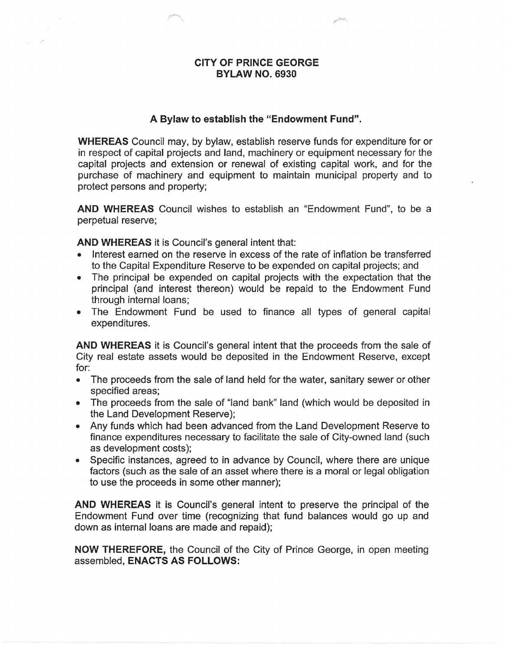## **CITY OF PRINCE GEORGE BYLAW NO. 6930**

## **A Bylaw to establish the "Endowment Fund".**

**WHEREAS** Council may, by bylaw, establish reserve funds for expenditure for or in respect of capital projects and land, machinery or equipment necessary for the capital projects and extension or renewal of existing capital work, and for the purchase of machinery and equipment to maintain municipal property and to protect persons and property;

**AND WHEREAS** Council wishes to establish an "Endowment Fund", to be a perpetual reserve;

**AND WHEREAS** it is Council's general intent that:

- Interest earned on the reserve in excess of the rate of inflation be transferred to the Capital Expenditure Reserve to be expended on capital projects; and
- The principal be expended on capital projects with the expectation that the principal (and interest thereon) would be repaid to the Endowment Fund through internal loans;
- The Endowment Fund be used to finance all types of general capital expenditures.

**AND WHEREAS** it is Council's general intent that the proceeds from the sale of City real estate assets would be deposited in the Endowment Reserve, except for:

- The proceeds from the sale of land held for the water, sanitary sewer or other specified areas;
- The proceeds from the sale of "land bank" land (which would be deposited in the Land Development Reserve);
- Any funds which had been advanced from the Land Development Reserve to finance expenditures necessary to facilitate the sale of City-owned land (such as development costs);
- Specific instances, agreed to in advance by Council, where there are unique factors (such as the sale of an asset where there is a moral or legal obligation to use the proceeds in some other manner);

**AND WHEREAS** it is Council's general intent to preserve the principal of the Endowment Fund over time (recognizing that fund balances would go up and down as internal loans are made and repaid);

**NOW THEREFORE,** the Council of the City of Prince George, in open meeting assembled, **ENACTS AS FOLLOWS:**